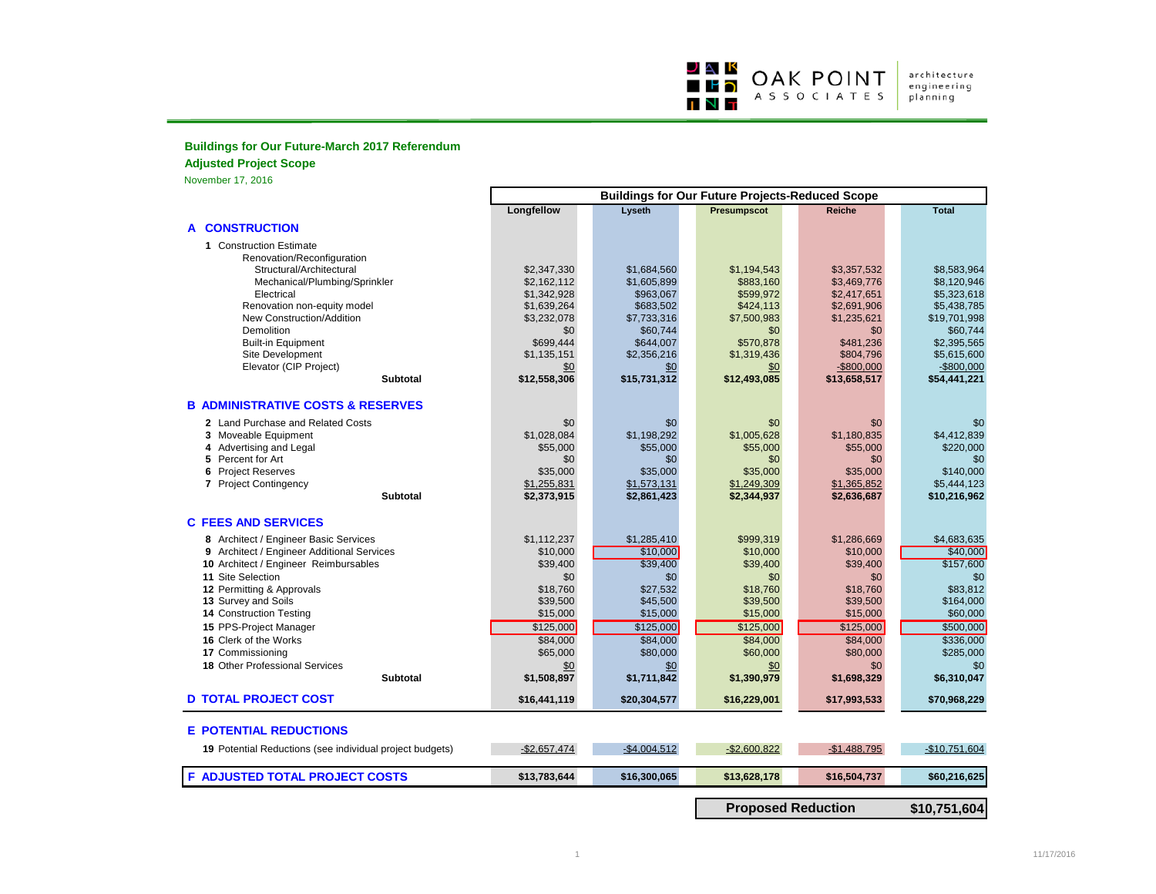

architecture<br>engineering<br>planning

## **Buildings for Our Future-March 2017 Referendum**

**Adjusted Project Scope**

November 17, 2016

|                                                          | <b>Buildings for Our Future Projects-Reduced Scope</b> |               |                           |               |                |
|----------------------------------------------------------|--------------------------------------------------------|---------------|---------------------------|---------------|----------------|
|                                                          | Longfellow                                             | Lyseth        | Presumpscot               | <b>Reiche</b> | <b>Total</b>   |
| <b>A CONSTRUCTION</b>                                    |                                                        |               |                           |               |                |
| 1 Construction Estimate                                  |                                                        |               |                           |               |                |
| Renovation/Reconfiguration<br>Structural/Architectural   | \$2,347,330                                            | \$1,684,560   | \$1,194,543               | \$3,357,532   | \$8,583,964    |
| Mechanical/Plumbing/Sprinkler                            | \$2,162,112                                            | \$1,605,899   | \$883,160                 | \$3,469,776   | \$8,120,946    |
| Electrical                                               | \$1,342,928                                            | \$963,067     | \$599,972                 | \$2,417,651   | \$5,323,618    |
| Renovation non-equity model                              | \$1,639,264                                            | \$683,502     | \$424,113                 | \$2,691,906   | \$5,438,785    |
| New Construction/Addition                                | \$3,232,078                                            | \$7,733,316   | \$7,500,983               | \$1,235,621   | \$19,701,998   |
| Demolition                                               | \$0                                                    | \$60.744      | \$0                       | \$0           | \$60,744       |
| <b>Built-in Equipment</b>                                | \$699,444                                              | \$644,007     | \$570,878                 | \$481,236     | \$2,395,565    |
| Site Development                                         | \$1,135,151                                            | \$2,356,216   | \$1,319,436               | \$804,796     | \$5,615,600    |
| Elevator (CIP Project)                                   | \$0                                                    | \$0           | \$0                       | $-$ \$800,000 | $-$800,000$    |
| <b>Subtotal</b>                                          | \$12,558,306                                           | \$15,731,312  | \$12,493,085              | \$13,658,517  | \$54,441,221   |
| <b>B ADMINISTRATIVE COSTS &amp; RESERVES</b>             |                                                        |               |                           |               |                |
| 2 Land Purchase and Related Costs                        | \$0                                                    | \$0           | \$0                       | \$0           | \$0            |
| 3 Moveable Equipment                                     | \$1,028,084                                            | \$1,198,292   | \$1,005,628               | \$1,180,835   | \$4,412,839    |
| 4 Advertising and Legal                                  | \$55,000                                               | \$55,000      | \$55,000                  | \$55,000      | \$220,000      |
| 5 Percent for Art                                        | \$0                                                    | \$0           | \$0                       | \$0           | \$0            |
| 6 Project Reserves                                       | \$35,000                                               | \$35,000      | \$35,000                  | \$35,000      | \$140,000      |
| 7 Project Contingency                                    | \$1,255,831                                            | \$1,573,131   | \$1,249,309               | \$1,365,852   | \$5,444,123    |
| <b>Subtotal</b>                                          | \$2,373,915                                            | \$2,861,423   | \$2,344,937               | \$2,636,687   | \$10,216,962   |
| <b>C FEES AND SERVICES</b>                               |                                                        |               |                           |               |                |
| 8 Architect / Engineer Basic Services                    | \$1,112,237                                            | \$1,285,410   | \$999,319                 | \$1,286,669   | \$4,683,635    |
| 9 Architect / Engineer Additional Services               | \$10,000                                               | \$10,000      | \$10,000                  | \$10,000      | \$40,000       |
| 10 Architect / Engineer Reimbursables                    | \$39,400                                               | \$39,400      | \$39,400                  | \$39,400      | \$157,600      |
| 11 Site Selection                                        | \$0                                                    | \$0           | \$0                       | \$0           | \$0            |
| 12 Permitting & Approvals                                | \$18,760                                               | \$27,532      | \$18,760                  | \$18,760      | \$83,812       |
| 13 Survey and Soils                                      | \$39,500                                               | \$45,500      | \$39,500                  | \$39,500      | \$164,000      |
| 14 Construction Testing                                  | \$15,000                                               | \$15,000      | \$15,000                  | \$15,000      | \$60,000       |
| 15 PPS-Project Manager                                   | \$125,000                                              | \$125,000     | \$125,000                 | \$125,000     | \$500,000      |
| 16 Clerk of the Works                                    | \$84,000                                               | \$84,000      | \$84,000                  | \$84,000      | \$336,000      |
| 17 Commissioning                                         | \$65,000                                               | \$80,000      | \$60,000                  | \$80,000      | \$285,000      |
| 18 Other Professional Services                           | \$0                                                    | \$0           | \$0                       | \$0           | \$0            |
| <b>Subtotal</b>                                          | \$1,508,897                                            | \$1,711,842   | \$1,390,979               | \$1,698,329   | \$6,310,047    |
| <b>D TOTAL PROJECT COST</b>                              | \$16,441,119                                           | \$20,304,577  | \$16,229,001              | \$17,993,533  | \$70,968,229   |
| <b>E POTENTIAL REDUCTIONS</b>                            |                                                        |               |                           |               |                |
| 19 Potential Reductions (see individual project budgets) | $-$2,657,474$                                          | $-$4,004,512$ | $-$2,600,822$             | $-$1,488,795$ | $-$10,751,604$ |
|                                                          |                                                        |               |                           |               |                |
| F ADJUSTED TOTAL PROJECT COSTS                           | \$13,783,644                                           | \$16,300,065  | \$13,628,178              | \$16,504,737  | \$60,216,625   |
|                                                          |                                                        |               | <b>Proposed Reduction</b> |               | \$10,751,604   |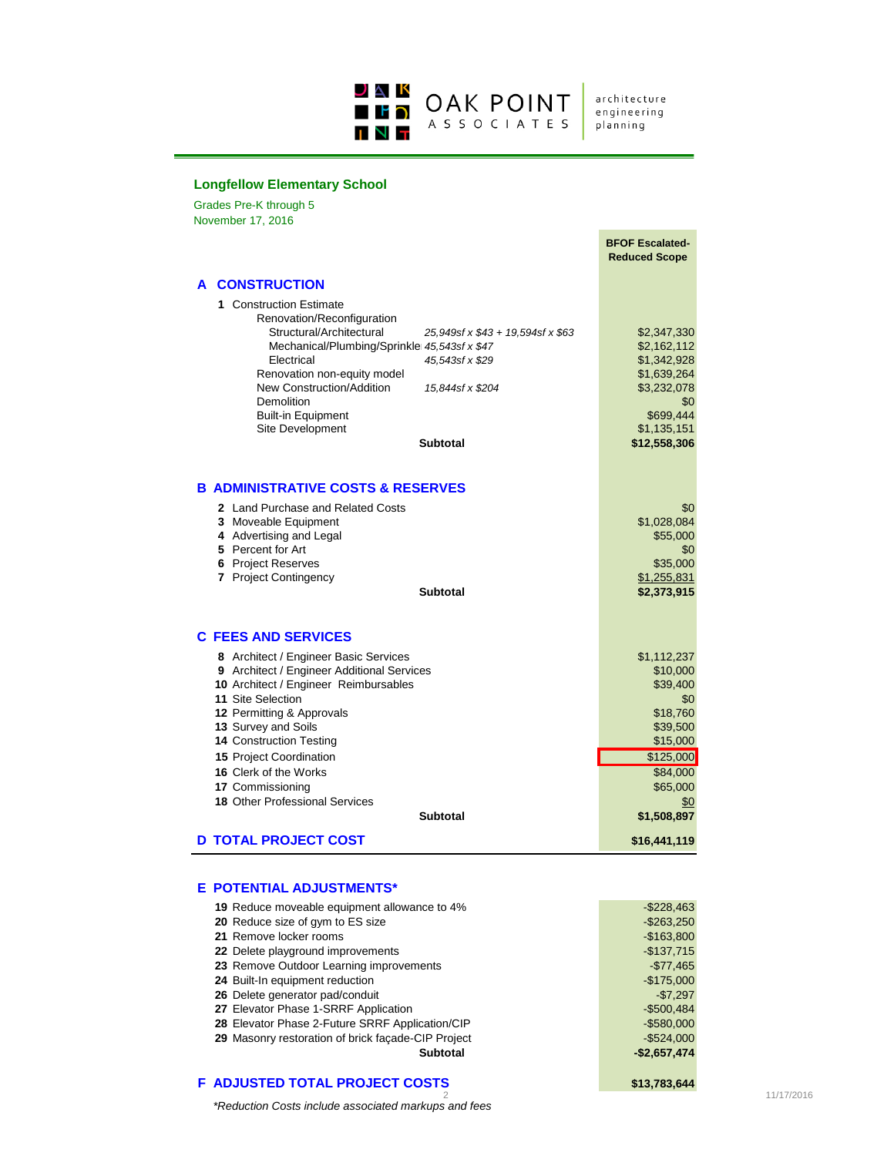

architecture engineering planning

#### **Longfellow Elementary School**

Grades Pre-K through 5 **A CONSTRUCTION 1** Construction Estimate Renovation/Reconfiguration 25,949sf x \$43 + 19,594sf x \$63 \$2,347,330 Mechanical/Plumbing/Sprinkler 45,543sf x \$47<br>Electrical 45,543sf x \$29 \$1,342,928 Electrical *45,543sf x \$29* \$1,342,928 Renovation non-equity model **\$1,639,264** New Construction/Addition *15,844sf x \$204* \$3,232,078<br>Demolition \$0,232,078 Demolition Built-in Equipment \$699,444<br>
Site Development \$1,135,151<br>
\$1,135,151 Site Development<br> **Subtotal Subtotal \$12,558,306 B ADMINISTRATIVE COSTS & RESERVES 2** Land Purchase and Related Costs \$0 \$0 \$0 \$0 \$0 \$0 \$1,028,084 **3** Moveable Equipment **61,028,084**<br>**4** Advertising and Legal **62,000**<br>**4** Advertising and Legal **4** Advertising and Legal **5** Percent for Art \$0<br>**6** Project Reserves \$15,000 **6** Project Reserves \$35,000<br> **7** Project Contingency \$1,255,831 **7** Project Contingency **Subtotal \$2,373,915 C FEES AND SERVICES 8** Architect / Engineer Basic Services #  $\frac{$1,112,237}{4}$ <br>**9** Architect / Engineer Additional Services # \$10,000 **9** Architect / Engineer Additional Services **\$10,000**<br>**10** Architect / Engineer Reimbursables \$39,400 **10** Architect / Engineer Reimbursables \$39,400<br> **11** Site Selection \$0.000 \$0.000 \$0.000 \$0.000 \$0.000 \$0.000 \$0.000 \$0.000 \$0.000 \$0.000 \$0.000 \$0.000 \$0.000 \$0.000 \$0.000 \$0.000 \$0.000 \$1.000 \$1.000 \$1.000 \$1.000 \$1.000 **11** Site Selection \$0<br>**12** Permitting & Approvals \$18,760 **12** Permitting & Approvals **13** Survey and Soils **13** Survey and Soils **14** Construction Testing **14** Construction Testing **14** Construction Testing **14** Construction Testing **14** Construction **14** Construction **14** Construction **14** Construction **1 14 Construction Testing 15** Project Coordination **15 125,000 16** Clerk of the Works **\$84,000**<br> **17** Commissioning **\$65,000 17** Commissioning **18** Other Professional Services **\$0 18** Other Professional Services **\$0 Subtotal \$1,508,897 D TOTAL PROJECT COST \$16,441,119 BFOF Escalated-Reduced Scope** November 17, 2016

#### **E POTENTIAL ADJUSTMENTS\***

| 19 Reduce moveable equipment allowance to 4%       | $-$ \$228,463 |
|----------------------------------------------------|---------------|
| 20 Reduce size of gym to ES size                   | $-$ \$263,250 |
| 21 Remove locker rooms                             | $-$163,800$   |
| 22 Delete playground improvements                  | $-$137,715$   |
| 23 Remove Outdoor Learning improvements            | $-$77.465$    |
| 24 Built-In equipment reduction                    | $-$175,000$   |
| 26 Delete generator pad/conduit                    | $-$7.297$     |
| 27 Elevator Phase 1-SRRF Application               | $-$500,484$   |
| 28 Elevator Phase 2-Future SRRF Application/CIP    | $-$ \$580.000 |
| 29 Masonry restoration of brick facade-CIP Project | $-$ \$524.000 |
| Subtotal                                           | $-$2,657,474$ |
|                                                    |               |

#### **F ADJUSTED TOTAL PROJECT COSTS \$13,783,644**

*\*Reduction Costs include associated markups and fees*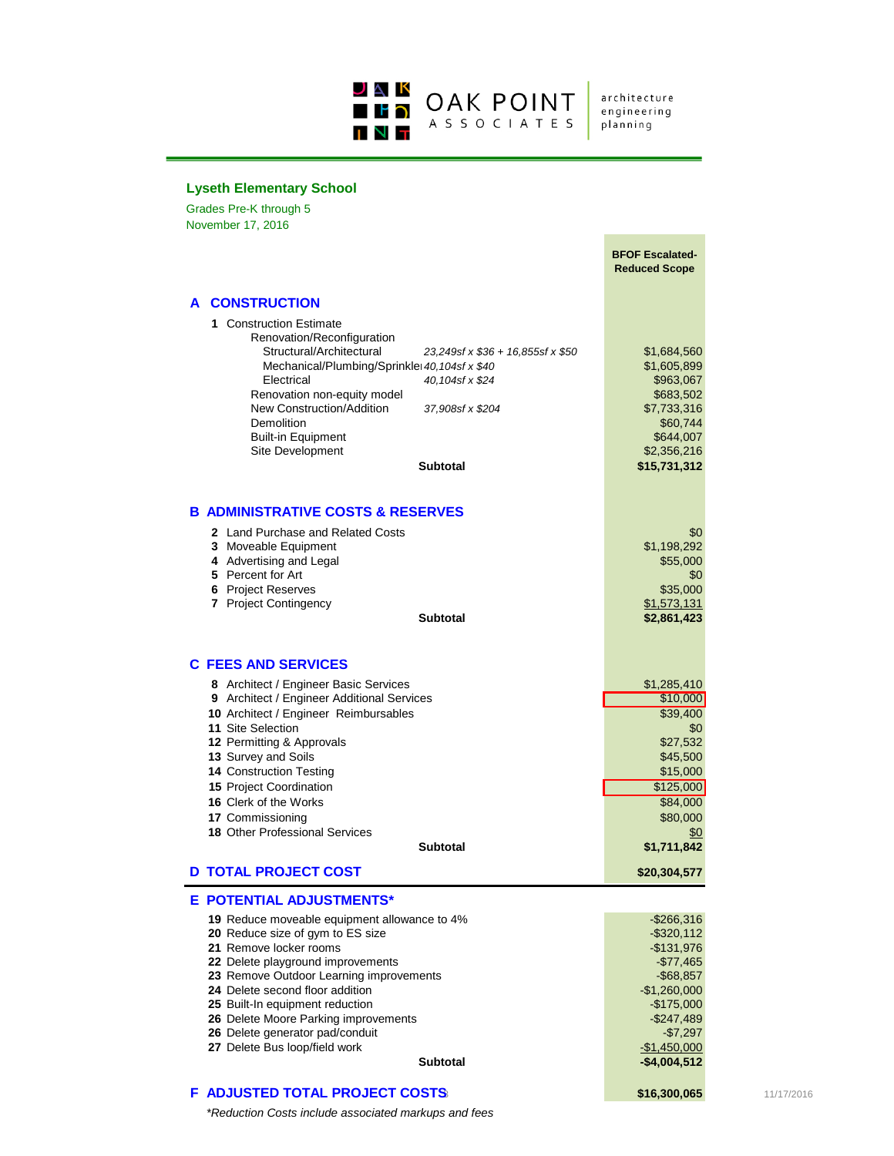

architecture<br>engineering planning

# **Lyseth Elementary School**

Grades Pre-K through 5 November 17, 2016

|                                                                                                                                                                                                                                                                                                                                                                                                                                    | <b>BFOF Escalated-</b><br><b>Reduced Scope</b>                                                                                                                          |            |
|------------------------------------------------------------------------------------------------------------------------------------------------------------------------------------------------------------------------------------------------------------------------------------------------------------------------------------------------------------------------------------------------------------------------------------|-------------------------------------------------------------------------------------------------------------------------------------------------------------------------|------------|
| A CONSTRUCTION                                                                                                                                                                                                                                                                                                                                                                                                                     |                                                                                                                                                                         |            |
| 1 Construction Estimate<br>Renovation/Reconfiguration<br>Structural/Architectural<br>Mechanical/Plumbing/Sprinkle 40, 104sf x \$40<br>Electrical<br>40,104sf x \$24<br>Renovation non-equity model<br>New Construction/Addition<br>37,908sf x \$204<br>Demolition<br><b>Built-in Equipment</b><br>Site Development<br><b>Subtotal</b>                                                                                              | \$1,684,560<br>23,249sf x \$36 + 16,855sf x \$50<br>\$1,605,899<br>\$963,067<br>\$683,502<br>\$7,733,316<br>\$60,744<br>\$644,007<br>\$2,356,216<br>\$15,731,312        |            |
| <b>B ADMINISTRATIVE COSTS &amp; RESERVES</b>                                                                                                                                                                                                                                                                                                                                                                                       |                                                                                                                                                                         |            |
| 2 Land Purchase and Related Costs<br>3 Moveable Equipment<br>4 Advertising and Legal<br>5 Percent for Art<br><b>6</b> Project Reserves<br>7 Project Contingency<br><b>Subtotal</b>                                                                                                                                                                                                                                                 | \$0<br>\$1,198,292<br>\$55,000<br>\$0<br>\$35,000<br>\$1,573,131<br>\$2,861,423                                                                                         |            |
| <b>C FEES AND SERVICES</b>                                                                                                                                                                                                                                                                                                                                                                                                         |                                                                                                                                                                         |            |
| 8 Architect / Engineer Basic Services<br>9 Architect / Engineer Additional Services<br>10 Architect / Engineer Reimbursables<br>11 Site Selection<br>12 Permitting & Approvals<br>13 Survey and Soils<br>14 Construction Testing<br><b>15 Project Coordination</b><br>16 Clerk of the Works<br>17 Commissioning<br><b>18 Other Professional Services</b><br><b>Subtotal</b>                                                        | \$1,285,410<br>\$10,000<br>\$39,400<br>\$0<br>\$27,532<br>\$45,500<br>\$15,000<br>\$125,000<br>\$84,000<br>\$80,000<br>\$0<br>\$1,711,842                               |            |
| <b>D TOTAL PROJECT COST</b>                                                                                                                                                                                                                                                                                                                                                                                                        | \$20,304,577                                                                                                                                                            |            |
| E POTENTIAL ADJUSTMENTS*<br><b>19</b> Reduce moveable equipment allowance to 4%<br>20 Reduce size of gym to ES size<br>21 Remove locker rooms<br>22 Delete playground improvements<br>23 Remove Outdoor Learning improvements<br>24 Delete second floor addition<br>25 Built-In equipment reduction<br>26 Delete Moore Parking improvements<br>26 Delete generator pad/conduit<br>27 Delete Bus loop/field work<br><b>Subtotal</b> | $-$ \$266,316<br>$-$ \$320,112<br>-\$131,976<br>$-$77,465$<br>$-$ \$68,857<br>$-$1,260,000$<br>$-$175,000$<br>$-$247,489$<br>-\$7,297<br>$-$1,450,000$<br>$-$4,004,512$ |            |
| F ADJUSTED TOTAL PROJECT COSTS                                                                                                                                                                                                                                                                                                                                                                                                     | \$16,300,065                                                                                                                                                            | 11/17/2016 |

*\*Reduction Costs include associated markups and fees*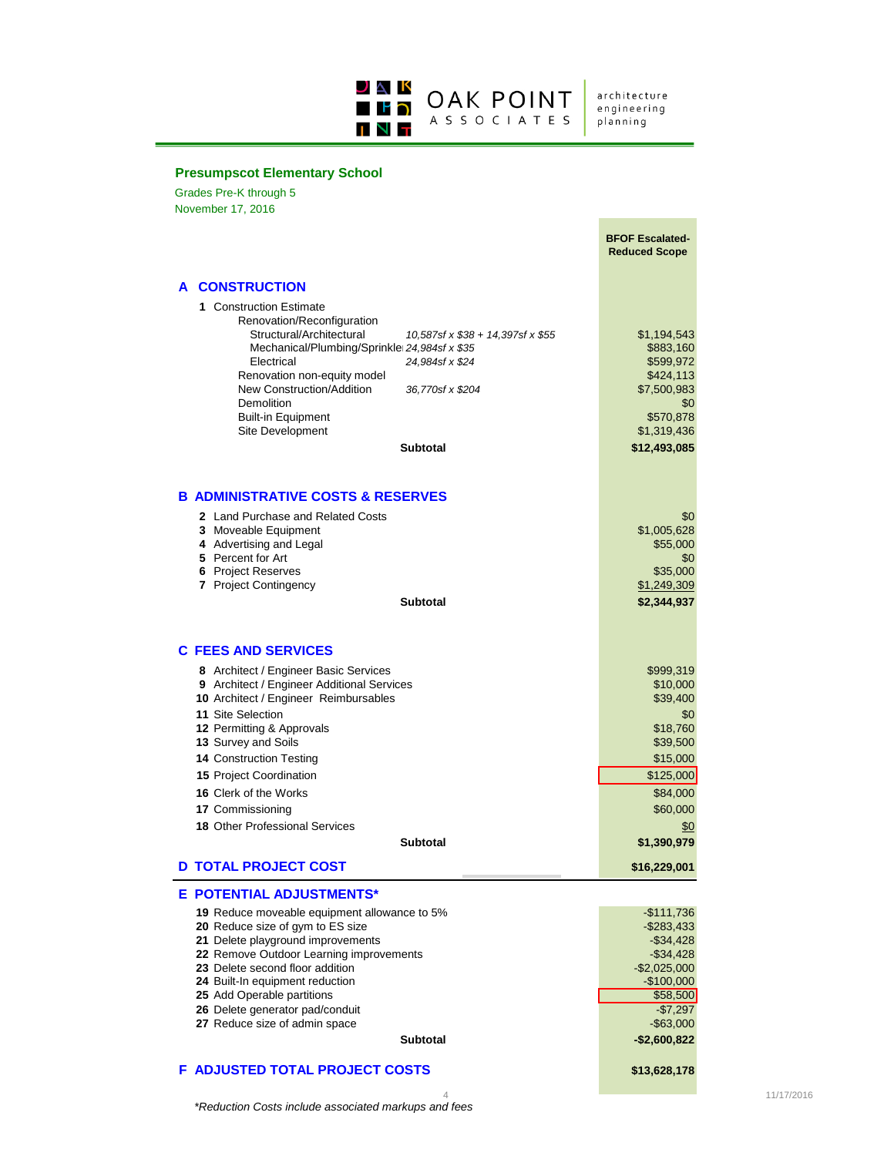

architecture<br>engineering planning

## **Presumpscot Elementary School**

Grades Pre-K through 5 November 17, 2016

|                                                                                                                                                                                                                                                                                                                                                                    | <b>BFOF Escalated-</b><br><b>Reduced Scope</b>                                                                                                   |
|--------------------------------------------------------------------------------------------------------------------------------------------------------------------------------------------------------------------------------------------------------------------------------------------------------------------------------------------------------------------|--------------------------------------------------------------------------------------------------------------------------------------------------|
| A CONSTRUCTION                                                                                                                                                                                                                                                                                                                                                     |                                                                                                                                                  |
| 1 Construction Estimate<br>Renovation/Reconfiguration<br>Structural/Architectural<br>10,587sf x \$38 + 14,397sf x \$55<br>Mechanical/Plumbing/Sprinkle 24,984sf x \$35<br>Electrical<br>24,984sf x \$24<br>Renovation non-equity model<br>New Construction/Addition<br>36,770sf x \$204<br>Demolition<br><b>Built-in Equipment</b><br>Site Development<br>Subtotal | \$1,194,543<br>\$883,160<br>\$599,972<br>\$424,113<br>\$7,500,983<br>\$0<br>\$570,878<br>\$1,319,436<br>\$12,493,085                             |
| <b>B ADMINISTRATIVE COSTS &amp; RESERVES</b>                                                                                                                                                                                                                                                                                                                       |                                                                                                                                                  |
| 2 Land Purchase and Related Costs<br>3 Moveable Equipment<br>4 Advertising and Legal<br>5 Percent for Art<br>6 Project Reserves<br>7 Project Contingency<br><b>Subtotal</b>                                                                                                                                                                                        | \$0<br>\$1,005,628<br>\$55,000<br>\$0<br>\$35,000<br>\$1,249,309<br>\$2,344,937                                                                  |
| <b>C FEES AND SERVICES</b>                                                                                                                                                                                                                                                                                                                                         |                                                                                                                                                  |
| 8 Architect / Engineer Basic Services<br>9 Architect / Engineer Additional Services<br>10 Architect / Engineer Reimbursables<br>11 Site Selection<br>12 Permitting & Approvals<br>13 Survey and Soils<br>14 Construction Testing<br>15 Project Coordination                                                                                                        | \$999,319<br>\$10,000<br>\$39,400<br>\$0<br>\$18,760<br>\$39,500<br>\$15,000<br>\$125,000                                                        |
| <b>16 Clerk of the Works</b><br>17 Commissioning                                                                                                                                                                                                                                                                                                                   | \$84,000<br>\$60,000                                                                                                                             |
| <b>18 Other Professional Services</b>                                                                                                                                                                                                                                                                                                                              | \$0                                                                                                                                              |
| <b>Subtotal</b>                                                                                                                                                                                                                                                                                                                                                    | \$1,390,979                                                                                                                                      |
| <b>D TOTAL PROJECT COST</b>                                                                                                                                                                                                                                                                                                                                        | \$16,229,001                                                                                                                                     |
| E POTENTIAL ADJUSTMENTS*                                                                                                                                                                                                                                                                                                                                           |                                                                                                                                                  |
| 19 Reduce moveable equipment allowance to 5%<br>20 Reduce size of gym to ES size<br>21 Delete playground improvements<br>22 Remove Outdoor Learning improvements<br>23 Delete second floor addition<br>24 Built-In equipment reduction<br>25 Add Operable partitions<br>26 Delete generator pad/conduit<br>27 Reduce size of admin space<br><b>Subtotal</b>        | $-$111,736$<br>$-$283,433$<br>$-$34,428$<br>$-$ \$34,428<br>$-$2,025,000$<br>$-$100,000$<br>\$58,500<br>$-$7,297$<br>$-$63,000$<br>$-$2,600,822$ |
| F ADJUSTED TOTAL PROJECT COSTS                                                                                                                                                                                                                                                                                                                                     |                                                                                                                                                  |
|                                                                                                                                                                                                                                                                                                                                                                    | \$13,628,178                                                                                                                                     |